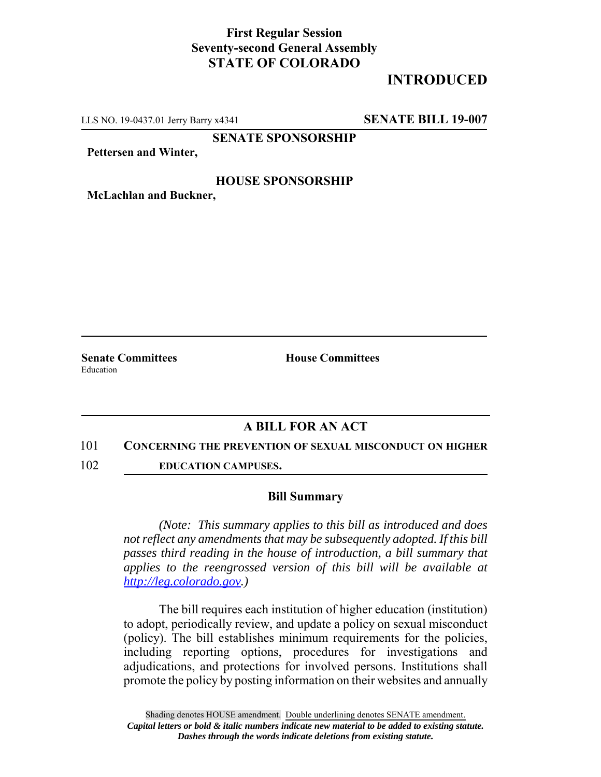## **First Regular Session Seventy-second General Assembly STATE OF COLORADO**

# **INTRODUCED**

LLS NO. 19-0437.01 Jerry Barry x4341 **SENATE BILL 19-007**

**SENATE SPONSORSHIP**

**Pettersen and Winter,**

### **HOUSE SPONSORSHIP**

**McLachlan and Buckner,**

Education

**Senate Committees House Committees** 

### **A BILL FOR AN ACT**

#### 101 **CONCERNING THE PREVENTION OF SEXUAL MISCONDUCT ON HIGHER**

102 **EDUCATION CAMPUSES.**

#### **Bill Summary**

*(Note: This summary applies to this bill as introduced and does not reflect any amendments that may be subsequently adopted. If this bill passes third reading in the house of introduction, a bill summary that applies to the reengrossed version of this bill will be available at http://leg.colorado.gov.)*

The bill requires each institution of higher education (institution) to adopt, periodically review, and update a policy on sexual misconduct (policy). The bill establishes minimum requirements for the policies, including reporting options, procedures for investigations and adjudications, and protections for involved persons. Institutions shall promote the policy by posting information on their websites and annually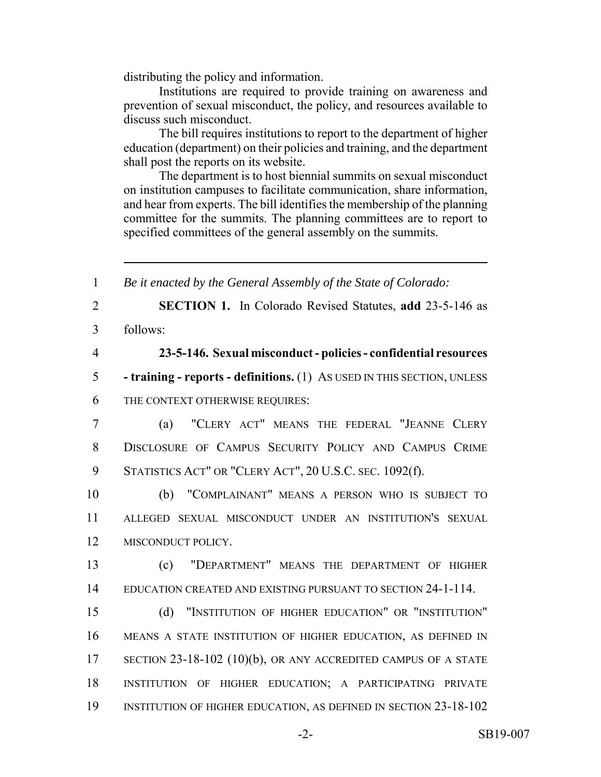distributing the policy and information.

Institutions are required to provide training on awareness and prevention of sexual misconduct, the policy, and resources available to discuss such misconduct.

The bill requires institutions to report to the department of higher education (department) on their policies and training, and the department shall post the reports on its website.

The department is to host biennial summits on sexual misconduct on institution campuses to facilitate communication, share information, and hear from experts. The bill identifies the membership of the planning committee for the summits. The planning committees are to report to specified committees of the general assembly on the summits.

 *Be it enacted by the General Assembly of the State of Colorado:* **SECTION 1.** In Colorado Revised Statutes, **add** 23-5-146 as 3 follows: **23-5-146. Sexual misconduct - policies - confidential resources - training - reports - definitions.** (1) AS USED IN THIS SECTION, UNLESS THE CONTEXT OTHERWISE REQUIRES: (a) "CLERY ACT" MEANS THE FEDERAL "JEANNE CLERY DISCLOSURE OF CAMPUS SECURITY POLICY AND CAMPUS CRIME 9 STATISTICS ACT" OR "CLERY ACT", 20 U.S.C. SEC. 1092(f). (b) "COMPLAINANT" MEANS A PERSON WHO IS SUBJECT TO ALLEGED SEXUAL MISCONDUCT UNDER AN INSTITUTION'S SEXUAL MISCONDUCT POLICY. (c) "DEPARTMENT" MEANS THE DEPARTMENT OF HIGHER EDUCATION CREATED AND EXISTING PURSUANT TO SECTION 24-1-114. (d) "INSTITUTION OF HIGHER EDUCATION" OR "INSTITUTION" MEANS A STATE INSTITUTION OF HIGHER EDUCATION, AS DEFINED IN SECTION 23-18-102 (10)(b), OR ANY ACCREDITED CAMPUS OF A STATE INSTITUTION OF HIGHER EDUCATION; A PARTICIPATING PRIVATE INSTITUTION OF HIGHER EDUCATION, AS DEFINED IN SECTION 23-18-102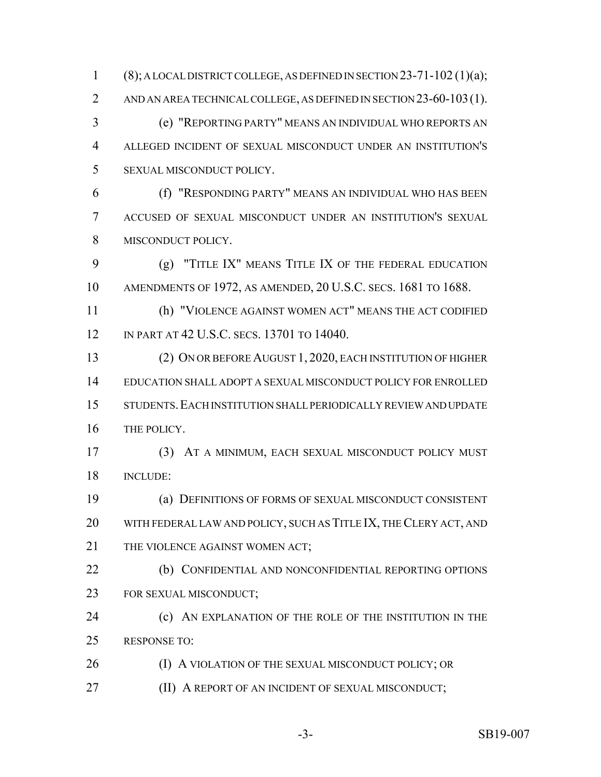1 (8); A LOCAL DISTRICT COLLEGE, AS DEFINED IN SECTION 23-71-102 (1)(a); 2 AND AN AREA TECHNICAL COLLEGE, AS DEFINED IN SECTION 23-60-103(1). (e) "REPORTING PARTY" MEANS AN INDIVIDUAL WHO REPORTS AN ALLEGED INCIDENT OF SEXUAL MISCONDUCT UNDER AN INSTITUTION'S SEXUAL MISCONDUCT POLICY. (f) "RESPONDING PARTY" MEANS AN INDIVIDUAL WHO HAS BEEN

 ACCUSED OF SEXUAL MISCONDUCT UNDER AN INSTITUTION'S SEXUAL MISCONDUCT POLICY.

 (g) "TITLE IX" MEANS TITLE IX OF THE FEDERAL EDUCATION AMENDMENTS OF 1972, AS AMENDED, 20 U.S.C. SECS. 1681 TO 1688.

 (h) "VIOLENCE AGAINST WOMEN ACT" MEANS THE ACT CODIFIED IN PART AT 42 U.S.C. SECS. 13701 TO 14040.

 (2) ON OR BEFORE AUGUST 1, 2020, EACH INSTITUTION OF HIGHER EDUCATION SHALL ADOPT A SEXUAL MISCONDUCT POLICY FOR ENROLLED STUDENTS.EACH INSTITUTION SHALL PERIODICALLY REVIEW AND UPDATE THE POLICY.

 (3) AT A MINIMUM, EACH SEXUAL MISCONDUCT POLICY MUST INCLUDE:

 (a) DEFINITIONS OF FORMS OF SEXUAL MISCONDUCT CONSISTENT WITH FEDERAL LAW AND POLICY, SUCH AS TITLE IX, THE CLERY ACT, AND 21 THE VIOLENCE AGAINST WOMEN ACT;

 (b) CONFIDENTIAL AND NONCONFIDENTIAL REPORTING OPTIONS FOR SEXUAL MISCONDUCT;

 (c) AN EXPLANATION OF THE ROLE OF THE INSTITUTION IN THE RESPONSE TO:

**(I) A VIOLATION OF THE SEXUAL MISCONDUCT POLICY; OR** 

**(II) A REPORT OF AN INCIDENT OF SEXUAL MISCONDUCT;**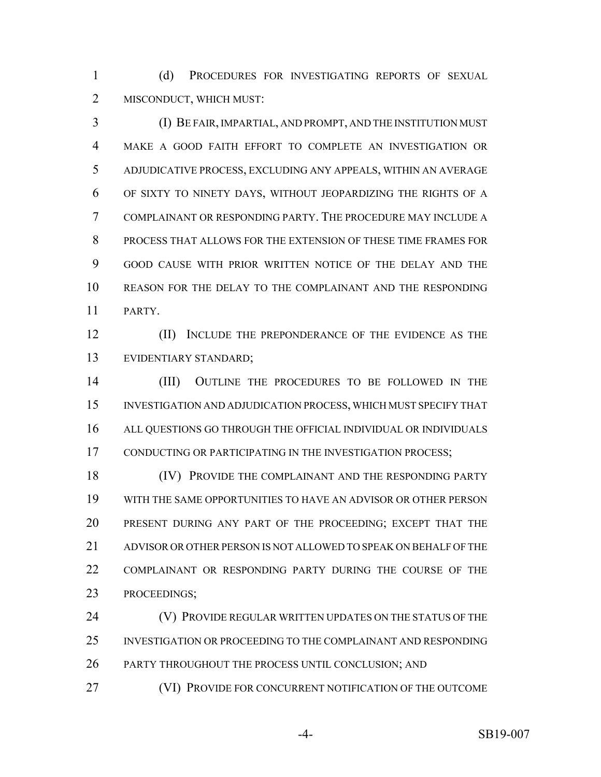(d) PROCEDURES FOR INVESTIGATING REPORTS OF SEXUAL MISCONDUCT, WHICH MUST:

 (I) BE FAIR, IMPARTIAL, AND PROMPT, AND THE INSTITUTION MUST MAKE A GOOD FAITH EFFORT TO COMPLETE AN INVESTIGATION OR ADJUDICATIVE PROCESS, EXCLUDING ANY APPEALS, WITHIN AN AVERAGE OF SIXTY TO NINETY DAYS, WITHOUT JEOPARDIZING THE RIGHTS OF A COMPLAINANT OR RESPONDING PARTY. THE PROCEDURE MAY INCLUDE A PROCESS THAT ALLOWS FOR THE EXTENSION OF THESE TIME FRAMES FOR GOOD CAUSE WITH PRIOR WRITTEN NOTICE OF THE DELAY AND THE REASON FOR THE DELAY TO THE COMPLAINANT AND THE RESPONDING PARTY.

12 (II) INCLUDE THE PREPONDERANCE OF THE EVIDENCE AS THE EVIDENTIARY STANDARD;

 (III) OUTLINE THE PROCEDURES TO BE FOLLOWED IN THE INVESTIGATION AND ADJUDICATION PROCESS, WHICH MUST SPECIFY THAT ALL QUESTIONS GO THROUGH THE OFFICIAL INDIVIDUAL OR INDIVIDUALS 17 CONDUCTING OR PARTICIPATING IN THE INVESTIGATION PROCESS;

18 (IV) PROVIDE THE COMPLAINANT AND THE RESPONDING PARTY WITH THE SAME OPPORTUNITIES TO HAVE AN ADVISOR OR OTHER PERSON PRESENT DURING ANY PART OF THE PROCEEDING; EXCEPT THAT THE ADVISOR OR OTHER PERSON IS NOT ALLOWED TO SPEAK ON BEHALF OF THE COMPLAINANT OR RESPONDING PARTY DURING THE COURSE OF THE PROCEEDINGS;

**(V) PROVIDE REGULAR WRITTEN UPDATES ON THE STATUS OF THE**  INVESTIGATION OR PROCEEDING TO THE COMPLAINANT AND RESPONDING PARTY THROUGHOUT THE PROCESS UNTIL CONCLUSION; AND

(VI) PROVIDE FOR CONCURRENT NOTIFICATION OF THE OUTCOME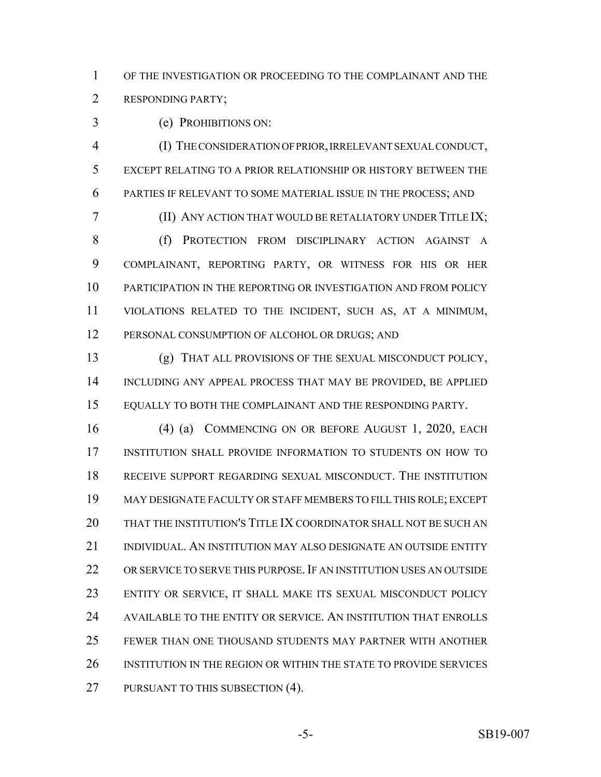OF THE INVESTIGATION OR PROCEEDING TO THE COMPLAINANT AND THE RESPONDING PARTY;

(e) PROHIBITIONS ON:

 (I) THE CONSIDERATION OF PRIOR, IRRELEVANT SEXUAL CONDUCT, EXCEPT RELATING TO A PRIOR RELATIONSHIP OR HISTORY BETWEEN THE PARTIES IF RELEVANT TO SOME MATERIAL ISSUE IN THE PROCESS; AND

 (II) ANY ACTION THAT WOULD BE RETALIATORY UNDER TITLE IX; (f) PROTECTION FROM DISCIPLINARY ACTION AGAINST A COMPLAINANT, REPORTING PARTY, OR WITNESS FOR HIS OR HER PARTICIPATION IN THE REPORTING OR INVESTIGATION AND FROM POLICY VIOLATIONS RELATED TO THE INCIDENT, SUCH AS, AT A MINIMUM, PERSONAL CONSUMPTION OF ALCOHOL OR DRUGS; AND

 (g) THAT ALL PROVISIONS OF THE SEXUAL MISCONDUCT POLICY, INCLUDING ANY APPEAL PROCESS THAT MAY BE PROVIDED, BE APPLIED EQUALLY TO BOTH THE COMPLAINANT AND THE RESPONDING PARTY.

 (4) (a) COMMENCING ON OR BEFORE AUGUST 1, 2020, EACH INSTITUTION SHALL PROVIDE INFORMATION TO STUDENTS ON HOW TO RECEIVE SUPPORT REGARDING SEXUAL MISCONDUCT. THE INSTITUTION MAY DESIGNATE FACULTY OR STAFF MEMBERS TO FILL THIS ROLE; EXCEPT THAT THE INSTITUTION'S TITLE IX COORDINATOR SHALL NOT BE SUCH AN INDIVIDUAL. AN INSTITUTION MAY ALSO DESIGNATE AN OUTSIDE ENTITY OR SERVICE TO SERVE THIS PURPOSE.IF AN INSTITUTION USES AN OUTSIDE ENTITY OR SERVICE, IT SHALL MAKE ITS SEXUAL MISCONDUCT POLICY AVAILABLE TO THE ENTITY OR SERVICE. AN INSTITUTION THAT ENROLLS FEWER THAN ONE THOUSAND STUDENTS MAY PARTNER WITH ANOTHER INSTITUTION IN THE REGION OR WITHIN THE STATE TO PROVIDE SERVICES 27 PURSUANT TO THIS SUBSECTION (4).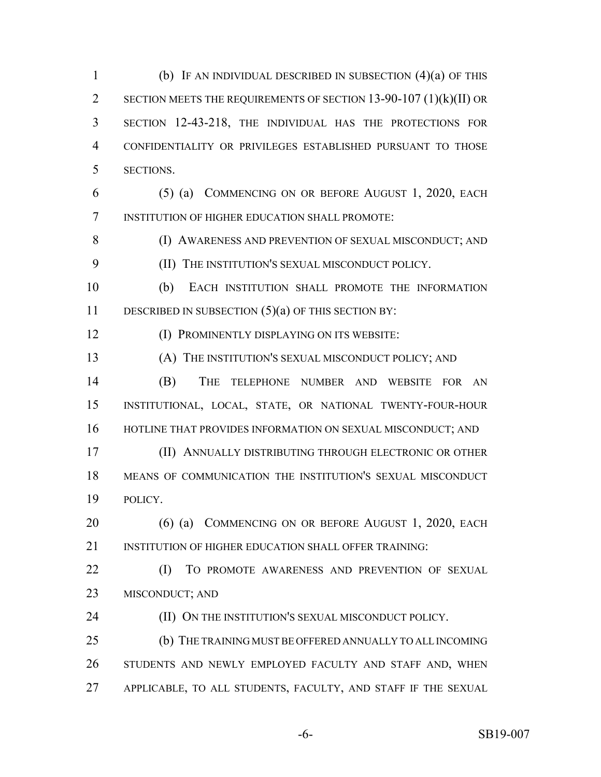(b) IF AN INDIVIDUAL DESCRIBED IN SUBSECTION (4)(a) OF THIS SECTION MEETS THE REQUIREMENTS OF SECTION 13-90-107 (1)(k)(II) OR SECTION 12-43-218, THE INDIVIDUAL HAS THE PROTECTIONS FOR CONFIDENTIALITY OR PRIVILEGES ESTABLISHED PURSUANT TO THOSE SECTIONS.

 (5) (a) COMMENCING ON OR BEFORE AUGUST 1, 2020, EACH INSTITUTION OF HIGHER EDUCATION SHALL PROMOTE:

8 (I) AWARENESS AND PREVENTION OF SEXUAL MISCONDUCT; AND

(II) THE INSTITUTION'S SEXUAL MISCONDUCT POLICY.

 (b) EACH INSTITUTION SHALL PROMOTE THE INFORMATION DESCRIBED IN SUBSECTION (5)(a) OF THIS SECTION BY:

(I) PROMINENTLY DISPLAYING ON ITS WEBSITE:

(A) THE INSTITUTION'S SEXUAL MISCONDUCT POLICY; AND

 (B) THE TELEPHONE NUMBER AND WEBSITE FOR AN INSTITUTIONAL, LOCAL, STATE, OR NATIONAL TWENTY-FOUR-HOUR 16 HOTLINE THAT PROVIDES INFORMATION ON SEXUAL MISCONDUCT; AND

 (II) ANNUALLY DISTRIBUTING THROUGH ELECTRONIC OR OTHER MEANS OF COMMUNICATION THE INSTITUTION'S SEXUAL MISCONDUCT POLICY.

20 (6) (a) COMMENCING ON OR BEFORE AUGUST 1, 2020, EACH 21 INSTITUTION OF HIGHER EDUCATION SHALL OFFER TRAINING:

22 (I) TO PROMOTE AWARENESS AND PREVENTION OF SEXUAL MISCONDUCT; AND

**(II) ON THE INSTITUTION'S SEXUAL MISCONDUCT POLICY.** 

 (b) THE TRAINING MUST BE OFFERED ANNUALLY TO ALL INCOMING STUDENTS AND NEWLY EMPLOYED FACULTY AND STAFF AND, WHEN APPLICABLE, TO ALL STUDENTS, FACULTY, AND STAFF IF THE SEXUAL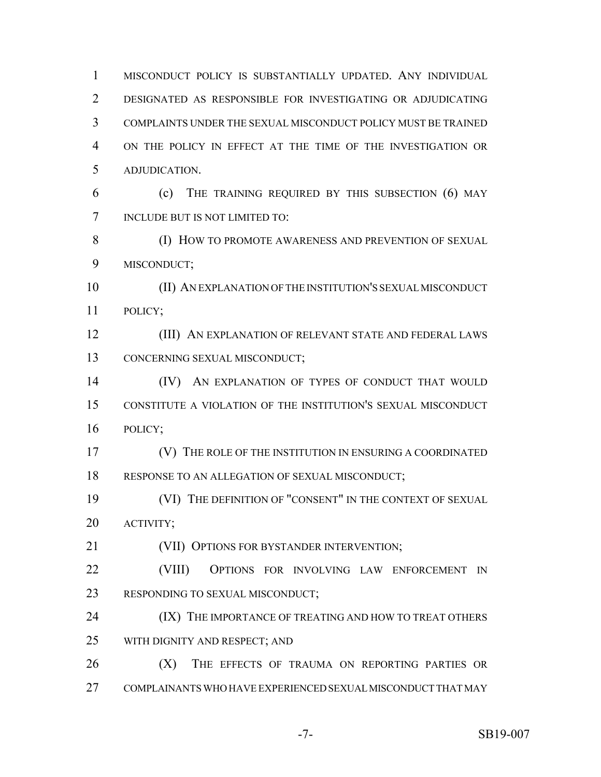MISCONDUCT POLICY IS SUBSTANTIALLY UPDATED. ANY INDIVIDUAL DESIGNATED AS RESPONSIBLE FOR INVESTIGATING OR ADJUDICATING COMPLAINTS UNDER THE SEXUAL MISCONDUCT POLICY MUST BE TRAINED ON THE POLICY IN EFFECT AT THE TIME OF THE INVESTIGATION OR ADJUDICATION. (c) THE TRAINING REQUIRED BY THIS SUBSECTION (6) MAY INCLUDE BUT IS NOT LIMITED TO: 8 (I) HOW TO PROMOTE AWARENESS AND PREVENTION OF SEXUAL MISCONDUCT; (II) AN EXPLANATION OF THE INSTITUTION'S SEXUAL MISCONDUCT POLICY; **(III) AN EXPLANATION OF RELEVANT STATE AND FEDERAL LAWS**  CONCERNING SEXUAL MISCONDUCT; (IV) AN EXPLANATION OF TYPES OF CONDUCT THAT WOULD CONSTITUTE A VIOLATION OF THE INSTITUTION'S SEXUAL MISCONDUCT POLICY; (V) THE ROLE OF THE INSTITUTION IN ENSURING A COORDINATED RESPONSE TO AN ALLEGATION OF SEXUAL MISCONDUCT; 19 (VI) THE DEFINITION OF "CONSENT" IN THE CONTEXT OF SEXUAL ACTIVITY; (VII) OPTIONS FOR BYSTANDER INTERVENTION; (VIII) OPTIONS FOR INVOLVING LAW ENFORCEMENT IN RESPONDING TO SEXUAL MISCONDUCT; **(IX) THE IMPORTANCE OF TREATING AND HOW TO TREAT OTHERS**  WITH DIGNITY AND RESPECT; AND 26 (X) THE EFFECTS OF TRAUMA ON REPORTING PARTIES OR COMPLAINANTS WHO HAVE EXPERIENCED SEXUAL MISCONDUCT THAT MAY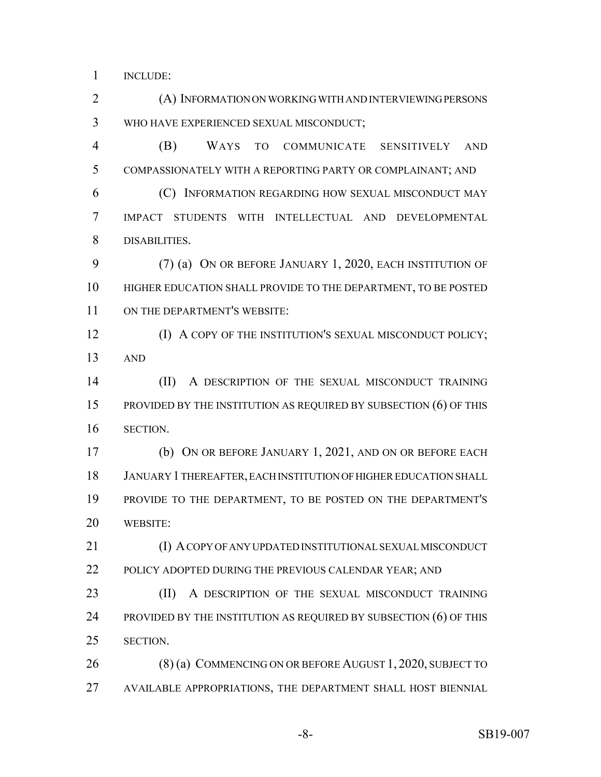INCLUDE:

 (A) INFORMATION ON WORKING WITH AND INTERVIEWING PERSONS WHO HAVE EXPERIENCED SEXUAL MISCONDUCT; (B) WAYS TO COMMUNICATE SENSITIVELY AND COMPASSIONATELY WITH A REPORTING PARTY OR COMPLAINANT; AND (C) INFORMATION REGARDING HOW SEXUAL MISCONDUCT MAY IMPACT STUDENTS WITH INTELLECTUAL AND DEVELOPMENTAL DISABILITIES. (7) (a) ON OR BEFORE JANUARY 1, 2020, EACH INSTITUTION OF HIGHER EDUCATION SHALL PROVIDE TO THE DEPARTMENT, TO BE POSTED ON THE DEPARTMENT'S WEBSITE: **(I) A COPY OF THE INSTITUTION'S SEXUAL MISCONDUCT POLICY;**  AND (II) A DESCRIPTION OF THE SEXUAL MISCONDUCT TRAINING PROVIDED BY THE INSTITUTION AS REQUIRED BY SUBSECTION (6) OF THIS SECTION. (b) ON OR BEFORE JANUARY 1, 2021, AND ON OR BEFORE EACH JANUARY 1 THEREAFTER, EACH INSTITUTION OF HIGHER EDUCATION SHALL PROVIDE TO THE DEPARTMENT, TO BE POSTED ON THE DEPARTMENT'S WEBSITE: 21 (I) A COPY OF ANY UPDATED INSTITUTIONAL SEXUAL MISCONDUCT 22 POLICY ADOPTED DURING THE PREVIOUS CALENDAR YEAR; AND 23 (II) A DESCRIPTION OF THE SEXUAL MISCONDUCT TRAINING 24 PROVIDED BY THE INSTITUTION AS REQUIRED BY SUBSECTION (6) OF THIS SECTION. 26 (8) (a) COMMENCING ON OR BEFORE AUGUST 1, 2020, SUBJECT TO AVAILABLE APPROPRIATIONS, THE DEPARTMENT SHALL HOST BIENNIAL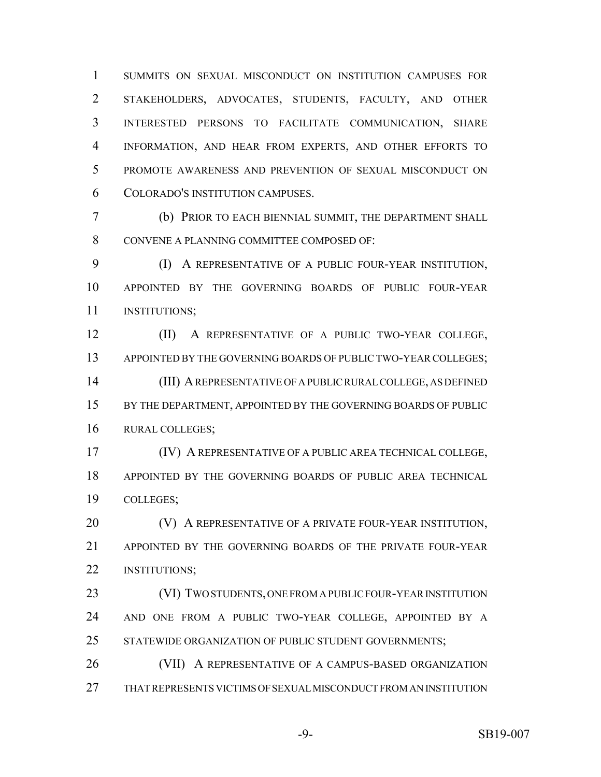SUMMITS ON SEXUAL MISCONDUCT ON INSTITUTION CAMPUSES FOR STAKEHOLDERS, ADVOCATES, STUDENTS, FACULTY, AND OTHER INTERESTED PERSONS TO FACILITATE COMMUNICATION, SHARE INFORMATION, AND HEAR FROM EXPERTS, AND OTHER EFFORTS TO PROMOTE AWARENESS AND PREVENTION OF SEXUAL MISCONDUCT ON COLORADO'S INSTITUTION CAMPUSES.

 (b) PRIOR TO EACH BIENNIAL SUMMIT, THE DEPARTMENT SHALL CONVENE A PLANNING COMMITTEE COMPOSED OF:

 (I) A REPRESENTATIVE OF A PUBLIC FOUR-YEAR INSTITUTION, APPOINTED BY THE GOVERNING BOARDS OF PUBLIC FOUR-YEAR **INSTITUTIONS**;

 (II) A REPRESENTATIVE OF A PUBLIC TWO-YEAR COLLEGE, 13 APPOINTED BY THE GOVERNING BOARDS OF PUBLIC TWO-YEAR COLLEGES; (III) A REPRESENTATIVE OF A PUBLIC RURAL COLLEGE, AS DEFINED

15 BY THE DEPARTMENT, APPOINTED BY THE GOVERNING BOARDS OF PUBLIC RURAL COLLEGES;

 (IV) A REPRESENTATIVE OF A PUBLIC AREA TECHNICAL COLLEGE, APPOINTED BY THE GOVERNING BOARDS OF PUBLIC AREA TECHNICAL COLLEGES;

**(V) A REPRESENTATIVE OF A PRIVATE FOUR-YEAR INSTITUTION,**  APPOINTED BY THE GOVERNING BOARDS OF THE PRIVATE FOUR-YEAR INSTITUTIONS;

23 (VI) TWO STUDENTS, ONE FROM A PUBLIC FOUR-YEAR INSTITUTION AND ONE FROM A PUBLIC TWO-YEAR COLLEGE, APPOINTED BY A STATEWIDE ORGANIZATION OF PUBLIC STUDENT GOVERNMENTS;

 (VII) A REPRESENTATIVE OF A CAMPUS-BASED ORGANIZATION THAT REPRESENTS VICTIMS OF SEXUAL MISCONDUCT FROM AN INSTITUTION